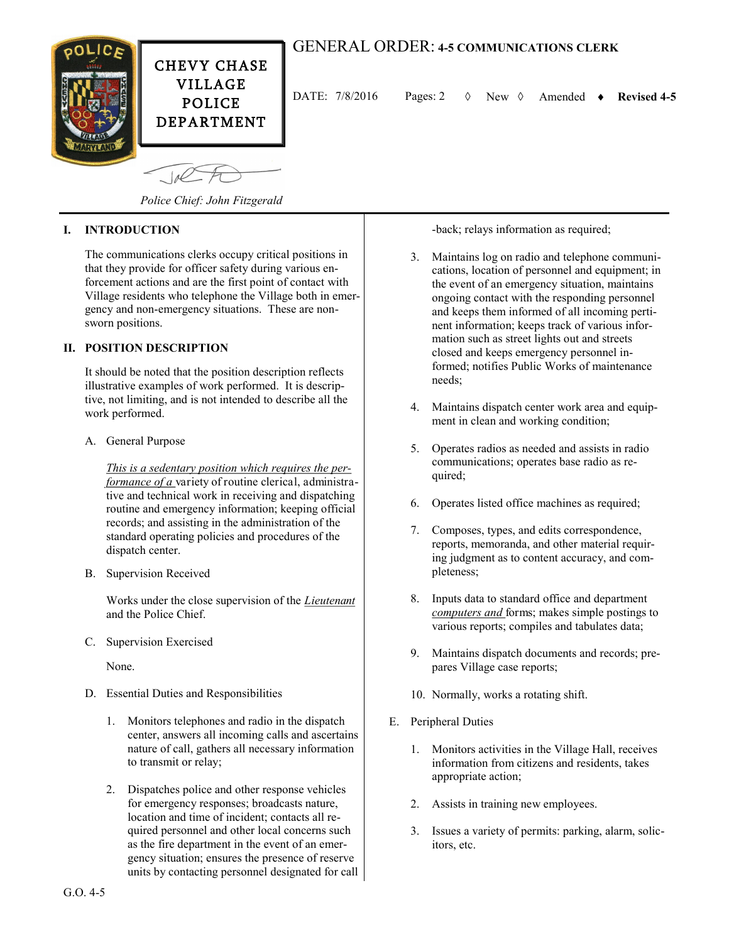

## GENERAL ORDER: **4-5 COMMUNICATIONS CLERK**

DATE:  $7/8/2016$  Pages: 2  $\Diamond$  New  $\Diamond$  Amended  $\bullet$  Revised 4-5

*Police Chief: John Fitzgerald*

## **I. INTRODUCTION**

The communications clerks occupy critical positions in that they provide for officer safety during various enforcement actions and are the first point of contact with Village residents who telephone the Village both in emergency and non-emergency situations. These are nonsworn positions.

## **II. POSITION DESCRIPTION**

It should be noted that the position description reflects illustrative examples of work performed. It is descriptive, not limiting, and is not intended to describe all the work performed.

A. General Purpose

*This is a sedentary position which requires the performance of a* variety of routine clerical, administrative and technical work in receiving and dispatching routine and emergency information; keeping official records; and assisting in the administration of the standard operating policies and procedures of the dispatch center.

B. Supervision Received

Works under the close supervision of the *Lieutenant* and the Police Chief.

C. Supervision Exercised

None.

- D. Essential Duties and Responsibilities
	- 1. Monitors telephones and radio in the dispatch center, answers all incoming calls and ascertains nature of call, gathers all necessary information to transmit or relay;
	- 2. Dispatches police and other response vehicles for emergency responses; broadcasts nature, location and time of incident; contacts all required personnel and other local concerns such as the fire department in the event of an emergency situation; ensures the presence of reserve units by contacting personnel designated for call

-back; relays information as required;

- 3. Maintains log on radio and telephone communications, location of personnel and equipment; in the event of an emergency situation, maintains ongoing contact with the responding personnel and keeps them informed of all incoming pertinent information; keeps track of various information such as street lights out and streets closed and keeps emergency personnel informed; notifies Public Works of maintenance needs;
- 4. Maintains dispatch center work area and equipment in clean and working condition;
- 5. Operates radios as needed and assists in radio communications; operates base radio as required;
- 6. Operates listed office machines as required;
- 7. Composes, types, and edits correspondence, reports, memoranda, and other material requiring judgment as to content accuracy, and completeness;
- 8. Inputs data to standard office and department *computers and* forms; makes simple postings to various reports; compiles and tabulates data;
- 9. Maintains dispatch documents and records; prepares Village case reports;
- 10. Normally, works a rotating shift.
- E. Peripheral Duties
	- 1. Monitors activities in the Village Hall, receives information from citizens and residents, takes appropriate action;
	- 2. Assists in training new employees.
	- 3. Issues a variety of permits: parking, alarm, solicitors, etc.